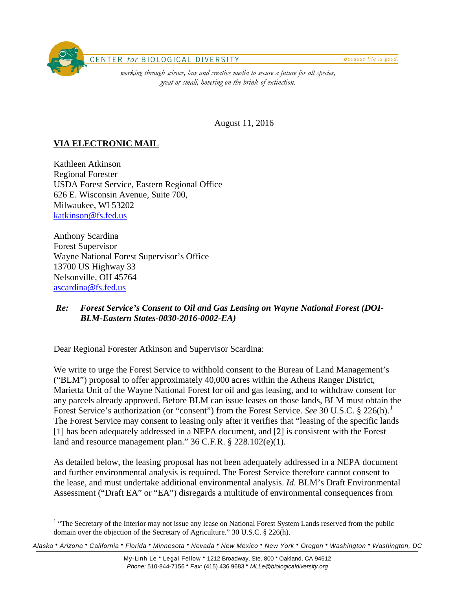

August 11, 2016

# **VIA ELECTRONIC MAIL**

Kathleen Atkinson Regional Forester USDA Forest Service, Eastern Regional Office 626 E. Wisconsin Avenue, Suite 700, Milwaukee, WI 53202 [katkinson@fs.fed.us](mailto:katkinson@fs.fed.us)

Anthony Scardina Forest Supervisor Wayne National Forest Supervisor's Office 13700 US Highway 33 Nelsonville, OH 45764 [ascardina@fs.fed.us](mailto:ascardina@fs.fed.us)

#### *Re: Forest Service's Consent to Oil and Gas Leasing on Wayne National Forest (DOI-BLM-Eastern States-0030-2016-0002-EA)*

Dear Regional Forester Atkinson and Supervisor Scardina:

We write to urge the Forest Service to withhold consent to the Bureau of Land Management's ("BLM") proposal to offer approximately 40,000 acres within the Athens Ranger District, Marietta Unit of the Wayne National Forest for oil and gas leasing, and to withdraw consent for any parcels already approved. Before BLM can issue leases on those lands, BLM must obtain the Forest Service's authorization (or "consent") from the Forest Service. *See* 30 U.S.C. § 226(h).<sup>[1](#page-0-0)</sup> The Forest Service may consent to leasing only after it verifies that "leasing of the specific lands [1] has been adequately addressed in a NEPA document, and [2] is consistent with the Forest land and resource management plan." 36 C.F.R. § 228.102(e)(1).

As detailed below, the leasing proposal has not been adequately addressed in a NEPA document and further environmental analysis is required. The Forest Service therefore cannot consent to the lease, and must undertake additional environmental analysis. *Id*. BLM's Draft Environmental Assessment ("Draft EA" or "EA") disregards a multitude of environmental consequences from

<span id="page-0-0"></span>*Alaska* • *Arizona* • *California* • *Florida* • *Minnesota* • *Nevada* • *New Mexico* • *New York* • *Oregon* • *Washington* • *Washington, DC*

<sup>&</sup>lt;sup>1</sup> "The Secretary of the Interior may not issue any lease on National Forest System Lands reserved from the public domain over the objection of the Secretary of Agriculture." 30 U.S.C. § 226(h).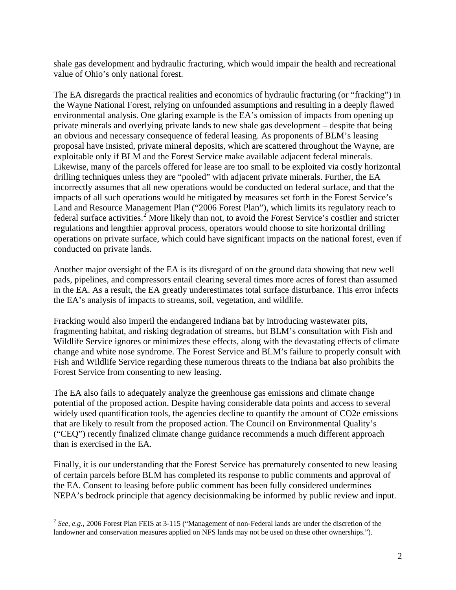shale gas development and hydraulic fracturing, which would impair the health and recreational value of Ohio's only national forest.

The EA disregards the practical realities and economics of hydraulic fracturing (or "fracking") in the Wayne National Forest, relying on unfounded assumptions and resulting in a deeply flawed environmental analysis. One glaring example is the EA's omission of impacts from opening up private minerals and overlying private lands to new shale gas development – despite that being an obvious and necessary consequence of federal leasing. As proponents of BLM's leasing proposal have insisted, private mineral deposits, which are scattered throughout the Wayne, are exploitable only if BLM and the Forest Service make available adjacent federal minerals. Likewise, many of the parcels offered for lease are too small to be exploited via costly horizontal drilling techniques unless they are "pooled" with adjacent private minerals. Further, the EA incorrectly assumes that all new operations would be conducted on federal surface, and that the impacts of all such operations would be mitigated by measures set forth in the Forest Service's Land and Resource Management Plan ("2006 Forest Plan"), which limits its regulatory reach to federal surface activities.<sup>[2](#page-1-0)</sup> More likely than not, to avoid the Forest Service's costlier and stricter regulations and lengthier approval process, operators would choose to site horizontal drilling operations on private surface, which could have significant impacts on the national forest, even if conducted on private lands.

Another major oversight of the EA is its disregard of on the ground data showing that new well pads, pipelines, and compressors entail clearing several times more acres of forest than assumed in the EA. As a result, the EA greatly underestimates total surface disturbance. This error infects the EA's analysis of impacts to streams, soil, vegetation, and wildlife.

Fracking would also imperil the endangered Indiana bat by introducing wastewater pits, fragmenting habitat, and risking degradation of streams, but BLM's consultation with Fish and Wildlife Service ignores or minimizes these effects, along with the devastating effects of climate change and white nose syndrome. The Forest Service and BLM's failure to properly consult with Fish and Wildlife Service regarding these numerous threats to the Indiana bat also prohibits the Forest Service from consenting to new leasing.

The EA also fails to adequately analyze the greenhouse gas emissions and climate change potential of the proposed action. Despite having considerable data points and access to several widely used quantification tools, the agencies decline to quantify the amount of CO2e emissions that are likely to result from the proposed action. The Council on Environmental Quality's ("CEQ") recently finalized climate change guidance recommends a much different approach than is exercised in the EA.

Finally, it is our understanding that the Forest Service has prematurely consented to new leasing of certain parcels before BLM has completed its response to public comments and approval of the EA. Consent to leasing before public comment has been fully considered undermines NEPA's bedrock principle that agency decisionmaking be informed by public review and input.

<span id="page-1-0"></span><sup>&</sup>lt;sup>2</sup> See, e.g., 2006 Forest Plan FEIS at 3-115 ("Management of non-Federal lands are under the discretion of the landowner and conservation measures applied on NFS lands may not be used on these other ownerships.").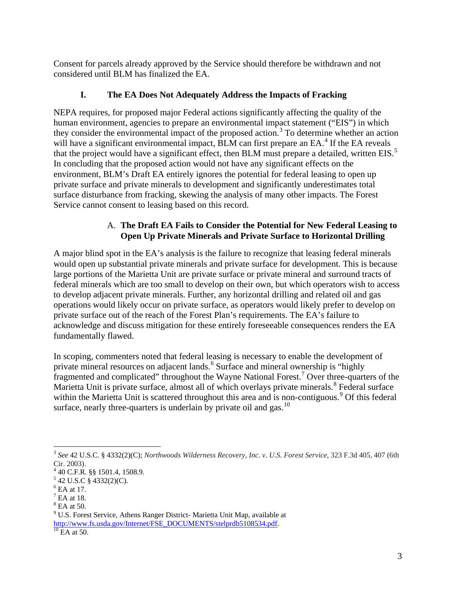Consent for parcels already approved by the Service should therefore be withdrawn and not considered until BLM has finalized the EA.

# **I. The EA Does Not Adequately Address the Impacts of Fracking**

NEPA requires, for proposed major Federal actions significantly affecting the quality of the human environment, agencies to prepare an environmental impact statement ("EIS") in which they consider the environmental impact of the proposed action.<sup>[3](#page-2-0)</sup> To determine whether an action will have a significant environmental impact, BLM can first prepare an EA.<sup>[4](#page-2-1)</sup> If the EA reveals that the project would have a significant effect, then BLM must prepare a detailed, written EIS.<sup>[5](#page-2-2)</sup> In concluding that the proposed action would not have any significant effects on the environment, BLM's Draft EA entirely ignores the potential for federal leasing to open up private surface and private minerals to development and significantly underestimates total surface disturbance from fracking, skewing the analysis of many other impacts. The Forest Service cannot consent to leasing based on this record.

## A. **The Draft EA Fails to Consider the Potential for New Federal Leasing to Open Up Private Minerals and Private Surface to Horizontal Drilling**

A major blind spot in the EA's analysis is the failure to recognize that leasing federal minerals would open up substantial private minerals and private surface for development. This is because large portions of the Marietta Unit are private surface or private mineral and surround tracts of federal minerals which are too small to develop on their own, but which operators wish to access to develop adjacent private minerals. Further, any horizontal drilling and related oil and gas operations would likely occur on private surface, as operators would likely prefer to develop on private surface out of the reach of the Forest Plan's requirements. The EA's failure to acknowledge and discuss mitigation for these entirely foreseeable consequences renders the EA fundamentally flawed.

In scoping, commenters noted that federal leasing is necessary to enable the development of private mineral resources on adjacent lands.<sup>[6](#page-2-3)</sup> Surface and mineral ownership is "highly" fragmented and complicated" throughout the Wayne National Forest.<sup>[7](#page-2-4)</sup> Over three-quarters of the Marietta Unit is private surface, almost all of which overlays private minerals.<sup>[8](#page-2-5)</sup> Federal surface within the Marietta Unit is scattered throughout this area and is non-contiguous.<sup>[9](#page-2-6)</sup> Of this federal surface, nearly three-quarters is underlain by private oil and gas. $^{10}$  $^{10}$  $^{10}$ 

<span id="page-2-0"></span> <sup>3</sup> *See* 42 U.S.C. § 4332(2)(C); *Northwoods Wilderness Recovery, Inc. v. U.S. Forest Service*, 323 F.3d 405, 407 (6th Cir. 2003).

<sup>4</sup> 40 C.F.R. §§ 1501.4, 1508.9.

<span id="page-2-2"></span><span id="page-2-1"></span> $5$  42 U.S.C § 4332(2)(C).

<span id="page-2-3"></span> $<sup>6</sup>$  EA at 17.</sup>

<span id="page-2-4"></span> $<sup>7</sup>$  EA at 18.</sup>

<span id="page-2-5"></span> $8$  EA at 50.

<span id="page-2-6"></span><sup>9</sup> U.S. Forest Service, Athens Ranger District- Marietta Unit Map, available at [http://www.fs.usda.gov/Internet/FSE\\_DOCUMENTS/stelprdb5108534.pdf.](http://www.fs.usda.gov/Internet/FSE_DOCUMENTS/stelprdb5108534.pdf)<br><sup>10</sup> EA at 50.

<span id="page-2-7"></span>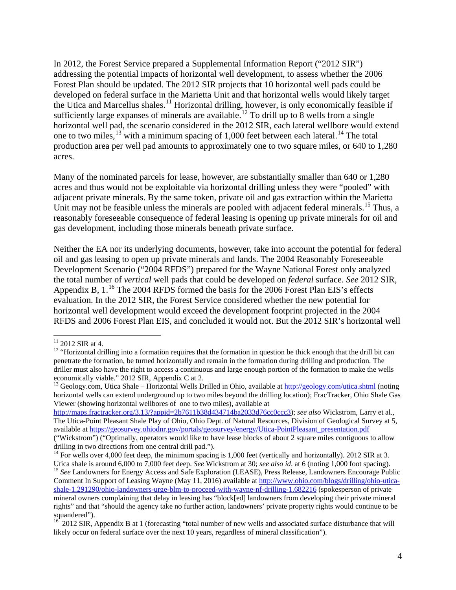In 2012, the Forest Service prepared a Supplemental Information Report ("2012 SIR") addressing the potential impacts of horizontal well development, to assess whether the 2006 Forest Plan should be updated. The 2012 SIR projects that 10 horizontal well pads could be developed on federal surface in the Marietta Unit and that horizontal wells would likely target the Utica and Marcellus shales.<sup>[11](#page-3-0)</sup> Horizontal drilling, however, is only economically feasible if sufficiently large expanses of minerals are available.<sup>[12](#page-3-1)</sup> To drill up to 8 wells from a single horizontal well pad, the scenario considered in the 2012 SIR, each lateral wellbore would extend one to two miles,  $^{13}$  $^{13}$  $^{13}$  with a minimum spacing of 1,000 feet between each lateral.<sup>[14](#page-3-3)</sup> The total production area per well pad amounts to approximately one to two square miles, or 640 to 1,280 acres.

Many of the nominated parcels for lease, however, are substantially smaller than 640 or 1,280 acres and thus would not be exploitable via horizontal drilling unless they were "pooled" with adjacent private minerals. By the same token, private oil and gas extraction within the Marietta Unit may not be feasible unless the minerals are pooled with adjacent federal minerals.<sup>[15](#page-3-4)</sup> Thus, a reasonably foreseeable consequence of federal leasing is opening up private minerals for oil and gas development, including those minerals beneath private surface.

Neither the EA nor its underlying documents, however, take into account the potential for federal oil and gas leasing to open up private minerals and lands. The 2004 Reasonably Foreseeable Development Scenario ("2004 RFDS") prepared for the Wayne National Forest only analyzed the total number of *vertical* well pads that could be developed on *federal* surface. *See* 2012 SIR, Appendix B,  $1.^{16}$  $1.^{16}$  $1.^{16}$  The 2004 RFDS formed the basis for the 2006 Forest Plan EIS's effects evaluation. In the 2012 SIR, the Forest Service considered whether the new potential for horizontal well development would exceed the development footprint projected in the 2004 RFDS and 2006 Forest Plan EIS, and concluded it would not. But the 2012 SIR's horizontal well

<span id="page-3-0"></span> $11$  2012 SIR at 4.

<span id="page-3-1"></span><sup>&</sup>lt;sup>12</sup> "Horizontal drilling into a formation requires that the formation in question be thick enough that the drill bit can penetrate the formation, be turned horizontally and remain in the formation during drilling and production. The driller must also have the right to access a continuous and large enough portion of the formation to make the wells economically viable." 2012 SIR, Appendix C at 2.

<span id="page-3-2"></span><sup>&</sup>lt;sup>13</sup> Geology.com, Utica Shale – Horizontal Wells Drilled in Ohio, available at  $\frac{http://geology.com/utica.shtml}{http://geology.com/utica.shtml}$  (noting horizontal wells can extend underground up to two miles beyond the drilling location); FracTracker, Ohio Shale Gas Viewer (showing horizontal wellbores of one to two miles), available at

[http://maps.fractracker.org/3.13/?appid=2b7611b38d434714ba2033d76cc0ccc3\)](http://maps.fractracker.org/3.13/?appid=2b7611b38d434714ba2033d76cc0ccc3); *see also* Wickstrom, Larry et al., The Utica-Point Pleasant Shale Play of Ohio, Ohio Dept. of Natural Resources, Division of Geological Survey at 5, available at [https://geosurvey.ohiodnr.gov/portals/geosurvey/energy/Utica-PointPleasant\\_presentation.pdf](https://geosurvey.ohiodnr.gov/portals/geosurvey/energy/Utica-PointPleasant_presentation.pdf) ("Wickstrom") ("Optimally, operators would like to have lease blocks of about 2 square miles contiguous to allow drilling in two directions from one central drill pad.").

<span id="page-3-4"></span><span id="page-3-3"></span><sup>&</sup>lt;sup>14</sup> For wells over 4,000 feet deep, the minimum spacing is 1,000 feet (vertically and horizontally). 2012 SIR at 3.<br>Utica shale is around 6,000 to 7,000 feet deep. *See* Wickstrom at 30; *see also id.* at 6 (noting 1,000 <sup>15</sup> See Landowners for Energy Access and Safe Exploration (LEASE), Press Release, Landowners Encourage Public Comment In Support of Leasing Wayne (May 11, 2016) available at [http://www.ohio.com/blogs/drilling/ohio-utica](http://www.ohio.com/blogs/drilling/ohio-utica-shale-1.291290/ohio-landowners-urge-blm-to-proceed-with-wayne-nf-drilling-1.682216)[shale-1.291290/ohio-landowners-urge-blm-to-proceed-with-wayne-nf-drilling-1.682216](http://www.ohio.com/blogs/drilling/ohio-utica-shale-1.291290/ohio-landowners-urge-blm-to-proceed-with-wayne-nf-drilling-1.682216) (spokesperson of private mineral owners complaining that delay in leasing has "block[ed] landowners from developing their private mineral rights" and that "should the agency take no further action, landowners' private property rights would continue to be squandered").

<span id="page-3-5"></span> $16^{16}$  2012 SIR, Appendix B at 1 (forecasting "total number of new wells and associated surface disturbance that will likely occur on federal surface over the next 10 years, regardless of mineral classification").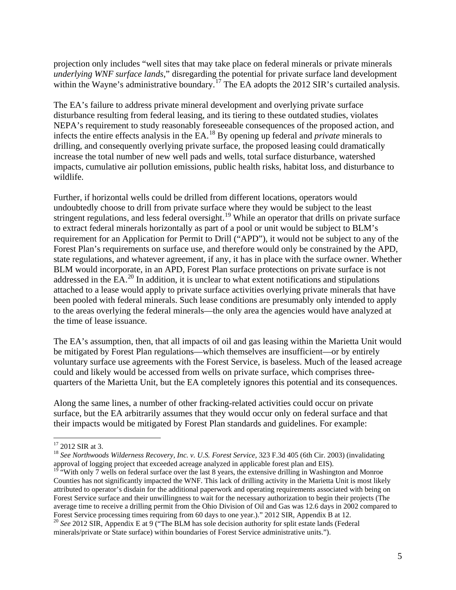projection only includes "well sites that may take place on federal minerals or private minerals *underlying WNF surface lands*," disregarding the potential for private surface land development within the Wayne's administrative boundary.<sup>[17](#page-4-0)</sup> The EA adopts the 2012 SIR's curtailed analysis.

The EA's failure to address private mineral development and overlying private surface disturbance resulting from federal leasing, and its tiering to these outdated studies, violates NEPA's requirement to study reasonably foreseeable consequences of the proposed action, and infects the entire effects analysis in the EA.[18](#page-4-1) By opening up federal and *private* minerals to drilling, and consequently overlying private surface, the proposed leasing could dramatically increase the total number of new well pads and wells, total surface disturbance, watershed impacts, cumulative air pollution emissions, public health risks, habitat loss, and disturbance to wildlife.

Further, if horizontal wells could be drilled from different locations, operators would undoubtedly choose to drill from private surface where they would be subject to the least stringent regulations, and less federal oversight.<sup>[19](#page-4-2)</sup> While an operator that drills on private surface to extract federal minerals horizontally as part of a pool or unit would be subject to BLM's requirement for an Application for Permit to Drill ("APD"), it would not be subject to any of the Forest Plan's requirements on surface use, and therefore would only be constrained by the APD, state regulations, and whatever agreement, if any, it has in place with the surface owner. Whether BLM would incorporate, in an APD, Forest Plan surface protections on private surface is not addressed in the EA.<sup>[20](#page-4-3)</sup> In addition, it is unclear to what extent notifications and stipulations attached to a lease would apply to private surface activities overlying private minerals that have been pooled with federal minerals. Such lease conditions are presumably only intended to apply to the areas overlying the federal minerals—the only area the agencies would have analyzed at the time of lease issuance.

The EA's assumption, then, that all impacts of oil and gas leasing within the Marietta Unit would be mitigated by Forest Plan regulations—which themselves are insufficient—or by entirely voluntary surface use agreements with the Forest Service, is baseless. Much of the leased acreage could and likely would be accessed from wells on private surface, which comprises threequarters of the Marietta Unit, but the EA completely ignores this potential and its consequences.

Along the same lines, a number of other fracking-related activities could occur on private surface, but the EA arbitrarily assumes that they would occur only on federal surface and that their impacts would be mitigated by Forest Plan standards and guidelines. For example:

<span id="page-4-1"></span><span id="page-4-0"></span><sup>&</sup>lt;sup>17</sup> 2012 SIR at 3.<br><sup>18</sup> *See Northwoods Wilderness Recovery, Inc. v. U.S. Forest Service*, 323 F.3d 405 (6th Cir. 2003) (invalidating approval of logging project that exceeded acreage analyzed in applicable forest plan and EIS).

<span id="page-4-2"></span><sup>&</sup>lt;sup>19 "</sup>With only  $\frac{1}{2}$  wells on federal surface over the last 8 years, the extensive drilling in Washington and Monroe Counties has not significantly impacted the WNF. This lack of drilling activity in the Marietta Unit is most likely attributed to operator's disdain for the additional paperwork and operating requirements associated with being on Forest Service surface and their unwillingness to wait for the necessary authorization to begin their projects (The average time to receive a drilling permit from the Ohio Division of Oil and Gas was 12.6 days in 2002 compared to Forest Service processing times requiring from 60 days to one year.)." 2012 SIR, Appendix B at 12.

<span id="page-4-3"></span><sup>20</sup> *See* 2012 SIR, Appendix E at 9 ("The BLM has sole decision authority for split estate lands (Federal minerals/private or State surface) within boundaries of Forest Service administrative units.").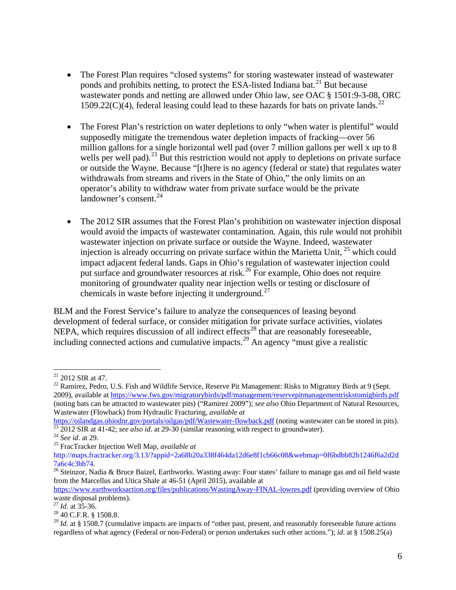- The Forest Plan requires "closed systems" for storing wastewater instead of wastewater ponds and prohibits netting, to protect the ESA-listed Indiana bat.<sup>[21](#page-5-0)</sup> But because wastewater ponds and netting are allowed under Ohio law, *see* OAC § 1501:9-3-08, ORC  $1509.22(C)(4)$  $1509.22(C)(4)$  $1509.22(C)(4)$ , federal leasing could lead to these hazards for bats on private lands.<sup>22</sup>
- The Forest Plan's restriction on water depletions to only "when water is plentiful" would supposedly mitigate the tremendous water depletion impacts of fracking—over 56 million gallons for a single horizontal well pad (over 7 million gallons per well x up to 8 wells per well pad).<sup>[23](#page-5-2)</sup> But this restriction would not apply to depletions on private surface or outside the Wayne. Because "[t]here is no agency (federal or state) that regulates water withdrawals from streams and rivers in the State of Ohio," the only limits on an operator's ability to withdraw water from private surface would be the private landowner's consent. $24$
- The 2012 SIR assumes that the Forest Plan's prohibition on wastewater injection disposal would avoid the impacts of wastewater contamination. Again, this rule would not prohibit wastewater injection on private surface or outside the Wayne. Indeed, wastewater injection is already occurring on private surface within the Marietta Unit,  $^{25}$  $^{25}$  $^{25}$  which could impact adjacent federal lands. Gaps in Ohio's regulation of wastewater injection could put surface and groundwater resources at risk.<sup>[26](#page-5-5)</sup> For example, Ohio does not require monitoring of groundwater quality near injection wells or testing or disclosure of chemicals in waste before injecting it underground.<sup>[27](#page-5-6)</sup>

BLM and the Forest Service's failure to analyze the consequences of leasing beyond development of federal surface, or consider mitigation for private surface activities, violates NEPA, which requires discussion of all indirect effects<sup>[28](#page-5-7)</sup> that are reasonably foreseeable, including connected actions and cumulative impacts.<sup>[29](#page-5-8)</sup> An agency "must give a realistic

<span id="page-5-0"></span> $21$  2012 SIR at 47.

<span id="page-5-1"></span><sup>&</sup>lt;sup>22</sup> Ramirez, Pedro, U.S. Fish and Wildlife Service, Reserve Pit Management: Risks to Migratory Birds at 9 (Sept. 2009), available a[t https://www.fws.gov/migratorybirds/pdf/management/reservepitmanagementriskstomigbirds.pdf](https://www.fws.gov/migratorybirds/pdf/management/reservepitmanagementriskstomigbirds.pdf) (noting bats can be attracted to wastewater pits) ("Ramirez 2009"); *see also* Ohio Department of Natural Resources, Wastewater (Flowback) from Hydraulic Fracturing, *available at*

<span id="page-5-2"></span><https://oilandgas.ohiodnr.gov/portals/oilgas/pdf/Wastewater-flowback.pdf> (noting wastewater can be stored in pits).<br>
<sup>23</sup> 2012 SIR at 41-42; *see also id.* at 29-30 (similar reasoning with respect to groundwater).<br>
<sup>24</sup>

<span id="page-5-3"></span>

<span id="page-5-4"></span>http://maps.fractracker.org/3.13/?appid=2a68b20a338f464da12d6e8f1cb66c08&webmap=0f6bdbb82b1246f6a2d2d

<span id="page-5-5"></span><sup>&</sup>lt;sup>26</sup> Steinzor, Nadia & Bruce Baizel, Earthworks. Wasting away: Four states' failure to manage gas and oil field waste from the Marcellus and Utica Shale at 46-51 (April 2015), available at

<https://www.earthworksaction.org/files/publications/WastingAway-FINAL-lowres.pdf> (providing overview of Ohio waste disposal problems).<br><sup>27</sup> *Id.* at 35-36.<br><sup>28</sup> 40 C.F.R. § 1508.8.

<span id="page-5-6"></span>

<span id="page-5-8"></span><span id="page-5-7"></span><sup>&</sup>lt;sup>29</sup> *Id.* at § 1508.7 (cumulative impacts are impacts of "other past, present, and reasonably foreseeable future actions regardless of what agency (Federal or non-Federal) or person undertakes such other actions."); *id*. at § 1508.25(a)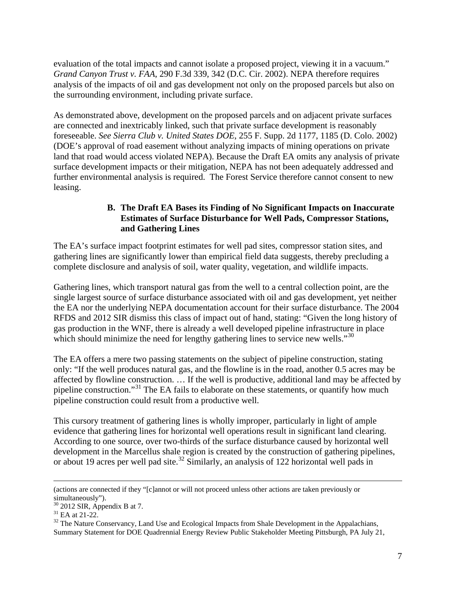evaluation of the total impacts and cannot isolate a proposed project, viewing it in a vacuum." *Grand Canyon Trust v. FAA*, 290 F.3d 339, 342 (D.C. Cir. 2002). NEPA therefore requires analysis of the impacts of oil and gas development not only on the proposed parcels but also on the surrounding environment, including private surface.

As demonstrated above, development on the proposed parcels and on adjacent private surfaces are connected and inextricably linked, such that private surface development is reasonably foreseeable. *See Sierra Club v. United States DOE*, 255 F. Supp. 2d 1177, 1185 (D. Colo. 2002) (DOE's approval of road easement without analyzing impacts of mining operations on private land that road would access violated NEPA). Because the Draft EA omits any analysis of private surface development impacts or their mitigation, NEPA has not been adequately addressed and further environmental analysis is required. The Forest Service therefore cannot consent to new leasing.

## **B. The Draft EA Bases its Finding of No Significant Impacts on Inaccurate Estimates of Surface Disturbance for Well Pads, Compressor Stations, and Gathering Lines**

The EA's surface impact footprint estimates for well pad sites, compressor station sites, and gathering lines are significantly lower than empirical field data suggests, thereby precluding a complete disclosure and analysis of soil, water quality, vegetation, and wildlife impacts.

Gathering lines, which transport natural gas from the well to a central collection point, are the single largest source of surface disturbance associated with oil and gas development, yet neither the EA nor the underlying NEPA documentation account for their surface disturbance. The 2004 RFDS and 2012 SIR dismiss this class of impact out of hand, stating: "Given the long history of gas production in the WNF, there is already a well developed pipeline infrastructure in place which should minimize the need for lengthy gathering lines to service new wells."<sup>[30](#page-6-0)</sup>

The EA offers a mere two passing statements on the subject of pipeline construction, stating only: "If the well produces natural gas, and the flowline is in the road, another 0.5 acres may be affected by flowline construction. … If the well is productive, additional land may be affected by pipeline construction."[31](#page-6-1) The EA fails to elaborate on these statements, or quantify how much pipeline construction could result from a productive well.

This cursory treatment of gathering lines is wholly improper, particularly in light of ample evidence that gathering lines for horizontal well operations result in significant land clearing. According to one source, over two-thirds of the surface disturbance caused by horizontal well development in the Marcellus shale region is created by the construction of gathering pipelines, or about 19 acres per well pad site.<sup>[32](#page-6-2)</sup> Similarly, an analysis of 122 horizontal well pads in

 <sup>(</sup>actions are connected if they "[c]annot or will not proceed unless other actions are taken previously or

<span id="page-6-0"></span>simultaneously").<br> $30\,2012$  SIR, Appendix B at 7.

<span id="page-6-2"></span><span id="page-6-1"></span> $31$  EA at 21-22.<br><sup>32</sup> The Nature Conservancy, Land Use and Ecological Impacts from Shale Development in the Appalachians, Summary Statement for DOE Quadrennial Energy Review Public Stakeholder Meeting Pittsburgh, PA July 21,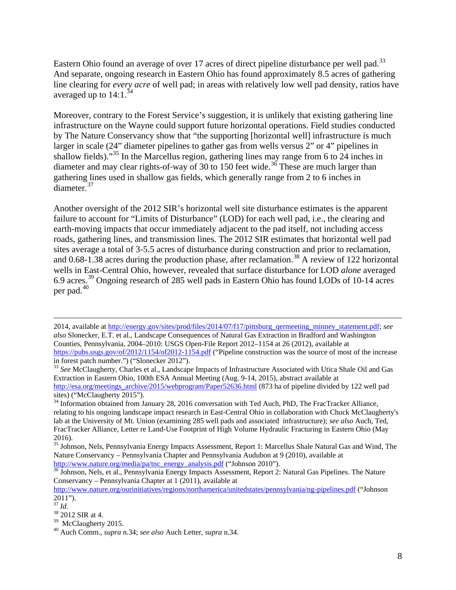Eastern Ohio found an average of over 17 acres of direct pipeline disturbance per well pad.<sup>[33](#page-7-0)</sup> And separate, ongoing research in Eastern Ohio has found approximately 8.5 acres of gathering line clearing for *every acre* of well pad; in areas with relatively low well pad density, ratios have averaged up to  $14:1.^{34}$  $14:1.^{34}$  $14:1.^{34}$ 

Moreover, contrary to the Forest Service's suggestion, it is unlikely that existing gathering line infrastructure on the Wayne could support future horizontal operations. Field studies conducted by The Nature Conservancy show that "the supporting [horizontal well] infrastructure is much larger in scale (24" diameter pipelines to gather gas from wells versus 2" or 4" pipelines in shallow fields)."<sup>[35](#page-7-2)</sup> In the Marcellus region, gathering lines may range from 6 to 24 inches in diameter and may clear rights-of-way of 30 to 150 feet wide.<sup>[36](#page-7-3)</sup> These are much larger than gathering lines used in shallow gas fields, which generally range from 2 to 6 inches in diameter.[37](#page-7-4)

Another oversight of the 2012 SIR's horizontal well site disturbance estimates is the apparent failure to account for "Limits of Disturbance" (LOD) for each well pad, i.e., the clearing and earth-moving impacts that occur immediately adjacent to the pad itself, not including access roads, gathering lines, and transmission lines. The 2012 SIR estimates that horizontal well pad sites average a total of 3-5.5 acres of disturbance during construction and prior to reclamation, and  $0.68$ -1.[38](#page-7-5) acres during the production phase, after reclamation.<sup>38</sup> A review of 122 horizontal wells in East-Central Ohio, however, revealed that surface disturbance for LOD *alone* averaged 6.9 acres. [39](#page-7-6) Ongoing research of 285 well pads in Eastern Ohio has found LODs of 10-14 acres per pad. [40](#page-7-7)

 <sup>2014,</sup> available at [http://energy.gov/sites/prod/files/2014/07/f17/pittsburg\\_qermeeting\\_minney\\_statement.pdf;](http://energy.gov/sites/prod/files/2014/07/f17/pittsburg_qermeeting_minney_statement.pdf) *see also* Slonecker, E.T. et al., Landscape Consequences of Natural Gas Extraction in Bradford and Washington Counties, Pennsylvania, 2004–2010: USGS Open-File Report 2012–1154 at 26 (2012), available at <https://pubs.usgs.gov/of/2012/1154/of2012-1154.pdf> ("Pipeline construction was the source of most of the increase in forest patch number.") ("Slonecker 2012").

<span id="page-7-0"></span><sup>33</sup> *See* McClaugherty, Charles et al., Landscape Impacts of Infrastructure Associated with Utica Shale Oil and Gas Extraction in Eastern Ohio, 100th ESA Annual Meeting (Aug. 9-14, 2015), abstract available at [http://esa.org/meetings\\_archive/2015/webprogram/Paper52636.html](http://esa.org/meetings_archive/2015/webprogram/Paper52636.html) (873 ha of pipeline divided by 122 well pad sites) ("McClaugherty 2015").

<span id="page-7-1"></span>sites) ("McClaugherty 2015"). 34 Information obtained from January 28, 2016 conversation with Ted Auch, PhD, The FracTracker Alliance, relating to his ongoing landscape impact research in East-Central Ohio in collaboration with Chuck McClaugherty's lab at the University of Mt. Union (examining 285 well pads and associated infrastructure); *see also* Auch, Ted, FracTracker Alliance, Letter re Land-Use Footprint of High Volume Hydraulic Fracturing in Eastern Ohio (May 2016).

<span id="page-7-2"></span><sup>&</sup>lt;sup>35</sup> Johnson, Nels, Pennsylvania Energy Impacts Assessment, Report 1: Marcellus Shale Natural Gas and Wind, The Nature Conservancy – Pennsylvania Chapter and Pennsylvania Audubon at 9 (2010), available at http://www.nature.org/media/pa/tnc\_energy\_analysis.pdf ("Johnson 2010").

<span id="page-7-3"></span><sup>&</sup>lt;sup>36</sup> Johnson, Nels, et al., Pennsylvania Energy Impacts Assessment, Report 2: Natural Gas Pipelines. The Nature Conservancy – Pennsylvania Chapter at 1 (2011), available at

<http://www.nature.org/ourinitiatives/regions/northamerica/unitedstates/pennsylvania/ng-pipelines.pdf> ("Johnson 2011").<br><sup>37</sup> *Id.*<br><sup>38</sup> 2012 SIR at 4.<br><sup>39</sup> McClaugherty 2015.

<span id="page-7-4"></span>

<span id="page-7-5"></span>

<span id="page-7-7"></span><span id="page-7-6"></span><sup>&</sup>lt;sup>40</sup> Auch Comm., *supra* n.34; *see also* Auch Letter, *supra* n.34.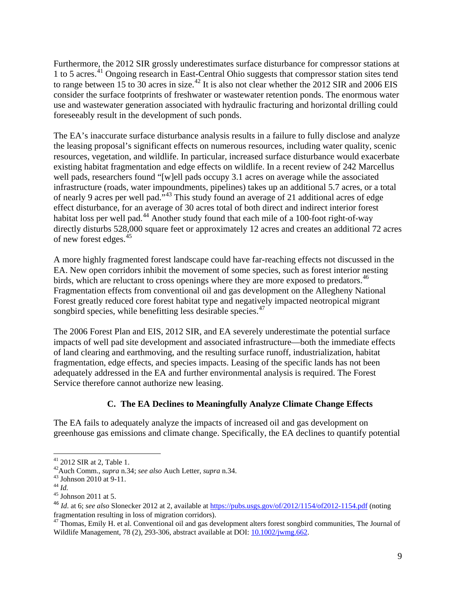Furthermore, the 2012 SIR grossly underestimates surface disturbance for compressor stations at 1 to 5 acres.[41](#page-8-0) Ongoing research in East-Central Ohio suggests that compressor station sites tend to range between 15 to 30 acres in size.<sup>[42](#page-8-1)</sup> It is also not clear whether the 2012 SIR and 2006 EIS consider the surface footprints of freshwater or wastewater retention ponds. The enormous water use and wastewater generation associated with hydraulic fracturing and horizontal drilling could foreseeably result in the development of such ponds.

The EA's inaccurate surface disturbance analysis results in a failure to fully disclose and analyze the leasing proposal's significant effects on numerous resources, including water quality, scenic resources, vegetation, and wildlife. In particular, increased surface disturbance would exacerbate existing habitat fragmentation and edge effects on wildlife. In a recent review of 242 Marcellus well pads, researchers found "[w]ell pads occupy 3.1 acres on average while the associated infrastructure (roads, water impoundments, pipelines) takes up an additional 5.7 acres, or a total of nearly 9 acres per well pad."[43](#page-8-2) This study found an average of 21 additional acres of edge effect disturbance, for an average of 30 acres total of both direct and indirect interior forest habitat loss per well pad.<sup>[44](#page-8-3)</sup> Another study found that each mile of a 100-foot right-of-way directly disturbs 528,000 square feet or approximately 12 acres and creates an additional 72 acres of new forest edges.<sup>[45](#page-8-4)</sup>

A more highly fragmented forest landscape could have far-reaching effects not discussed in the EA. New open corridors inhibit the movement of some species, such as forest interior nesting birds, which are reluctant to cross openings where they are more exposed to predators.<sup>[46](#page-8-5)</sup> Fragmentation effects from conventional oil and gas development on the Allegheny National Forest greatly reduced core forest habitat type and negatively impacted neotropical migrant songbird species, while benefitting less desirable species.<sup>[47](#page-8-6)</sup>

The 2006 Forest Plan and EIS, 2012 SIR, and EA severely underestimate the potential surface impacts of well pad site development and associated infrastructure—both the immediate effects of land clearing and earthmoving, and the resulting surface runoff, industrialization, habitat fragmentation, edge effects, and species impacts. Leasing of the specific lands has not been adequately addressed in the EA and further environmental analysis is required. The Forest Service therefore cannot authorize new leasing.

## **C. The EA Declines to Meaningfully Analyze Climate Change Effects**

The EA fails to adequately analyze the impacts of increased oil and gas development on greenhouse gas emissions and climate change. Specifically, the EA declines to quantify potential

<span id="page-8-1"></span><span id="page-8-0"></span><sup>41</sup> 2012 SIR at 2, Table 1. 42Auch Comm., *supra* n.34; *see also* Auch Letter, *supra* n.34. <sup>43</sup> Johnson 2010 at 9-11. 44 *Id.* <sup>45</sup> Johnson 2011 at 5.

<span id="page-8-2"></span>

<span id="page-8-3"></span>

<span id="page-8-5"></span><span id="page-8-4"></span><sup>&</sup>lt;sup>46</sup> *Id.* at 6; *see also* Slonecker 2012 at 2, available at<https://pubs.usgs.gov/of/2012/1154/of2012-1154.pdf> (noting fragmentation resulting in loss of migration corridors).

<span id="page-8-6"></span>fragmentation resulting in loss of migration corridors). <sup>47</sup> Thomas, Emily H. et al. Conventional oil and gas development alters forest songbird communities, The Journal of Wildlife Management*,* 78 (2), 293-306, abstract available at DOI: [10.1002/jwmg.662.](http://dx.doi.org/10.1002/jwmg.662)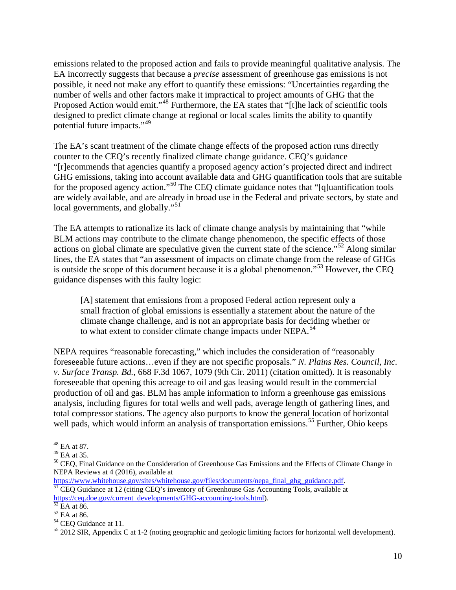emissions related to the proposed action and fails to provide meaningful qualitative analysis. The EA incorrectly suggests that because a *precise* assessment of greenhouse gas emissions is not possible, it need not make any effort to quantify these emissions: "Uncertainties regarding the number of wells and other factors make it impractical to project amounts of GHG that the Proposed Action would emit."<sup>[48](#page-9-0)</sup> Furthermore, the EA states that "[t]he lack of scientific tools designed to predict climate change at regional or local scales limits the ability to quantify potential future impacts."[49](#page-9-1)

The EA's scant treatment of the climate change effects of the proposed action runs directly counter to the CEQ's recently finalized climate change guidance. CEQ's guidance "[r]ecommends that agencies quantify a proposed agency action's projected direct and indirect GHG emissions, taking into account available data and GHG quantification tools that are suitable for the proposed agency action."<sup>[50](#page-9-2)</sup> The CEO climate guidance notes that "[q]uantification tools are widely available, and are already in broad use in the Federal and private sectors, by state and local governments, and globally."<sup>[51](#page-9-3)</sup>

The EA attempts to rationalize its lack of climate change analysis by maintaining that "while BLM actions may contribute to the climate change phenomenon, the specific effects of those actions on global climate are speculative given the current state of the science."<sup>[52](#page-9-4)</sup> Along similar lines, the EA states that "an assessment of impacts on climate change from the release of GHGs is outside the scope of this document because it is a global phenomenon."[53](#page-9-5) However, the CEQ guidance dispenses with this faulty logic:

[A] statement that emissions from a proposed Federal action represent only a small fraction of global emissions is essentially a statement about the nature of the climate change challenge, and is not an appropriate basis for deciding whether or to what extent to consider climate change impacts under NEPA.<sup>[54](#page-9-6)</sup>

NEPA requires "reasonable forecasting," which includes the consideration of "reasonably foreseeable future actions…even if they are not specific proposals." *N. Plains Res. Council, Inc. v. Surface Transp. Bd.*, 668 F.3d 1067, 1079 (9th Cir. 2011) (citation omitted). It is reasonably foreseeable that opening this acreage to oil and gas leasing would result in the commercial production of oil and gas. BLM has ample information to inform a greenhouse gas emissions analysis, including figures for total wells and well pads, average length of gathering lines, and total compressor stations. The agency also purports to know the general location of horizontal well pads, which would inform an analysis of transportation emissions.<sup>[55](#page-9-7)</sup> Further, Ohio keeps

<span id="page-9-0"></span> $^{48}$  EA at 87.<br> $^{49}$  EA at 35.

<span id="page-9-2"></span><span id="page-9-1"></span><sup>&</sup>lt;sup>50</sup> CEQ, Final Guidance on the Consideration of Greenhouse Gas Emissions and the Effects of Climate Change in NEPA Reviews at 4 (2016), available at

https://www.whitehouse.gov/sites/whitehouse.gov/files/documents/nepa\_final\_ghg\_guidance.pdf. <sup>51</sup> CEQ Guidance at 12 (citing CEQ's inventory of Greenhouse Gas Accounting Tools, available at

<span id="page-9-5"></span>

<span id="page-9-7"></span><span id="page-9-6"></span>

<span id="page-9-4"></span><span id="page-9-3"></span>[https://ceq.doe.gov/current\\_developments/GHG-accounting-tools.html\)](https://ceq.doe.gov/current_developments/GHG-accounting-tools.html).<br>
<sup>52</sup> EA at 86.<br>
<sup>54</sup> CEQ Guidance at 11.<br>
<sup>54</sup> CEQ Guidance at 11.<br>
<sup>55</sup> 2012 SIR, Appendix C at 1-2 (noting geographic and geologic limiting factors f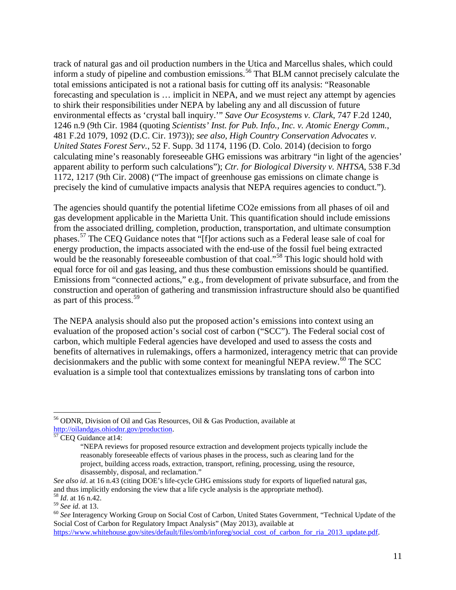track of natural gas and oil production numbers in the Utica and Marcellus shales, which could inform a study of pipeline and combustion emissions.<sup>[56](#page-10-0)</sup> That BLM cannot precisely calculate the total emissions anticipated is not a rational basis for cutting off its analysis: "Reasonable forecasting and speculation is … implicit in NEPA, and we must reject any attempt by agencies to shirk their responsibilities under NEPA by labeling any and all discussion of future environmental effects as 'crystal ball inquiry.'" *Save Our Ecosystems v. Clark*, 747 F.2d 1240, 1246 n.9 (9th Cir. 1984 (quoting *Scientists' Inst. for Pub. Info., Inc. v. Atomic Energy Comm.*, 481 F.2d 1079, 1092 (D.C. Cir. 1973)); *see also*, *High Country Conservation Advocates v. United States Forest Serv.*, 52 F. Supp. 3d 1174, 1196 (D. Colo. 2014) (decision to forgo calculating mine's reasonably foreseeable GHG emissions was arbitrary "in light of the agencies' apparent ability to perform such calculations"); *Ctr. for Biological Diversity v. NHTSA*, 538 F.3d 1172, 1217 (9th Cir. 2008) ("The impact of greenhouse gas emissions on climate change is precisely the kind of cumulative impacts analysis that NEPA requires agencies to conduct.").

The agencies should quantify the potential lifetime CO2e emissions from all phases of oil and gas development applicable in the Marietta Unit. This quantification should include emissions from the associated drilling, completion, production, transportation, and ultimate consumption phases.[57](#page-10-1) The CEQ Guidance notes that "[f]or actions such as a Federal lease sale of coal for energy production, the impacts associated with the end-use of the fossil fuel being extracted would be the reasonably foreseeable combustion of that coal."<sup>[58](#page-10-2)</sup> This logic should hold with equal force for oil and gas leasing, and thus these combustion emissions should be quantified. Emissions from "connected actions," e.g., from development of private subsurface, and from the construction and operation of gathering and transmission infrastructure should also be quantified as part of this process.<sup>[59](#page-10-3)</sup>

The NEPA analysis should also put the proposed action's emissions into context using an evaluation of the proposed action's social cost of carbon ("SCC"). The Federal social cost of carbon, which multiple Federal agencies have developed and used to assess the costs and benefits of alternatives in rulemakings, offers a harmonized, interagency metric that can provide decisionmakers and the public with some context for meaningful NEPA review.<sup>[60](#page-10-4)</sup> The SCC evaluation is a simple tool that contextualizes emissions by translating tons of carbon into

<span id="page-10-0"></span> <sup>56</sup> ODNR, Division of Oil and Gas Resources, Oil & Gas Production, available at [http://oilandgas.ohiodnr.gov/production.](http://oilandgas.ohiodnr.gov/production)<br> $\frac{\text{http://oilandas.ohiodnr.gov/production}}{57}$ CEQ Guidance at14:

<span id="page-10-1"></span>

<sup>&</sup>quot;NEPA reviews for proposed resource extraction and development projects typically include the reasonably foreseeable effects of various phases in the process, such as clearing land for the project, building access roads, extraction, transport, refining, processing, using the resource, disassembly, disposal, and reclamation."

*See also id*. at 16 n.43 (citing DOE's life-cycle GHG emissions study for exports of liquefied natural gas, and thus implicitly endorsing the view that a life cycle analysis is the appropriate method). <sup>58</sup> *Id.* at 16 n.42. <sup>59</sup> *See id.* at 13.

<span id="page-10-2"></span>

<span id="page-10-4"></span><span id="page-10-3"></span><sup>&</sup>lt;sup>60</sup> See Interagency Working Group on Social Cost of Carbon, United States Government, "Technical Update of the

Social Cost of Carbon for Regulatory Impact Analysis" (May 2013), available at [https://www.whitehouse.gov/sites/default/files/omb/inforeg/social\\_cost\\_of\\_carbon\\_for\\_ria\\_2013\\_update.pdf.](https://www.whitehouse.gov/sites/default/files/omb/inforeg/social_cost_of_carbon_for_ria_2013_update.pdf)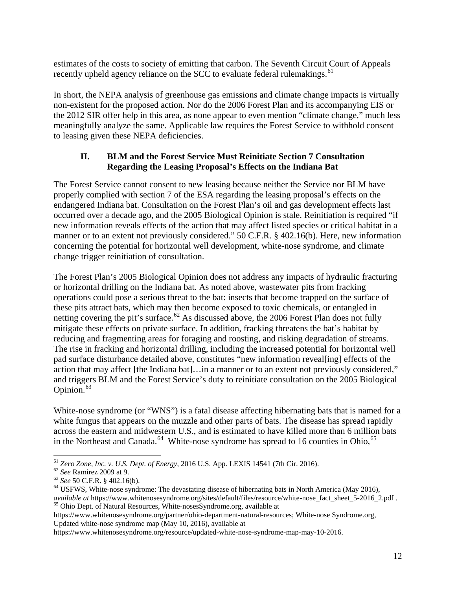estimates of the costs to society of emitting that carbon. The Seventh Circuit Court of Appeals recently upheld agency reliance on the SCC to evaluate federal rulemakings.<sup>[61](#page-11-0)</sup>

In short, the NEPA analysis of greenhouse gas emissions and climate change impacts is virtually non-existent for the proposed action. Nor do the 2006 Forest Plan and its accompanying EIS or the 2012 SIR offer help in this area, as none appear to even mention "climate change," much less meaningfully analyze the same. Applicable law requires the Forest Service to withhold consent to leasing given these NEPA deficiencies.

# **II. BLM and the Forest Service Must Reinitiate Section 7 Consultation Regarding the Leasing Proposal's Effects on the Indiana Bat**

The Forest Service cannot consent to new leasing because neither the Service nor BLM have properly complied with section 7 of the ESA regarding the leasing proposal's effects on the endangered Indiana bat. Consultation on the Forest Plan's oil and gas development effects last occurred over a decade ago, and the 2005 Biological Opinion is stale. Reinitiation is required "if new information reveals effects of the action that may affect listed species or critical habitat in a manner or to an extent not previously considered." 50 C.F.R. § 402.16(b). Here, new information concerning the potential for horizontal well development, white-nose syndrome, and climate change trigger reinitiation of consultation.

The Forest Plan's 2005 Biological Opinion does not address any impacts of hydraulic fracturing or horizontal drilling on the Indiana bat. As noted above, wastewater pits from fracking operations could pose a serious threat to the bat: insects that become trapped on the surface of these pits attract bats, which may then become exposed to toxic chemicals, or entangled in netting covering the pit's surface.<sup>[62](#page-11-1)</sup> As discussed above, the 2006 Forest Plan does not fully mitigate these effects on private surface. In addition, fracking threatens the bat's habitat by reducing and fragmenting areas for foraging and roosting, and risking degradation of streams. The rise in fracking and horizontal drilling, including the increased potential for horizontal well pad surface disturbance detailed above, constitutes "new information reveal[ing] effects of the action that may affect [the Indiana bat]…in a manner or to an extent not previously considered," and triggers BLM and the Forest Service's duty to reinitiate consultation on the 2005 Biological Opinion. $63$ 

White-nose syndrome (or "WNS") is a fatal disease affecting hibernating bats that is named for a white fungus that appears on the muzzle and other parts of bats. The disease has spread rapidly across the eastern and midwestern U.S., and is estimated to have killed more than 6 million bats in the Northeast and Canada.<sup>[64](#page-11-3)</sup> White-nose syndrome has spread to 16 counties in Ohio,<sup>[65](#page-11-4)</sup>

<span id="page-11-4"></span>https://www.whitenosesyndrome.org/partner/ohio-department-natural-resources; White-nose Syndrome.org, Updated white-nose syndrome map (May 10, 2016), available at

<span id="page-11-3"></span><span id="page-11-2"></span>

<span id="page-11-1"></span><span id="page-11-0"></span><sup>&</sup>lt;sup>61</sup> Zero Zone, Inc. v. U.S. Dept. of Energy, 2016 U.S. App. LEXIS 14541 (7th Cir. 2016).<br><sup>62</sup> See Ramirez 2009 at 9.<br><sup>63</sup> See 50 C.F.R. § 402.16(b).<br><sup>64</sup> USFWS, White-nose syndrome: The devastating disease of hibernating *available at* https://www.whitenosesyndrome.org/sites/default/files/resource/white-nose\_fact\_sheet\_5-2016\_2.pdf . <sup>65</sup> Ohio Dept. of Natural Resources, White-nosesSyndrome.org, available at

https://www.whitenosesyndrome.org/resource/updated-white-nose-syndrome-map-may-10-2016.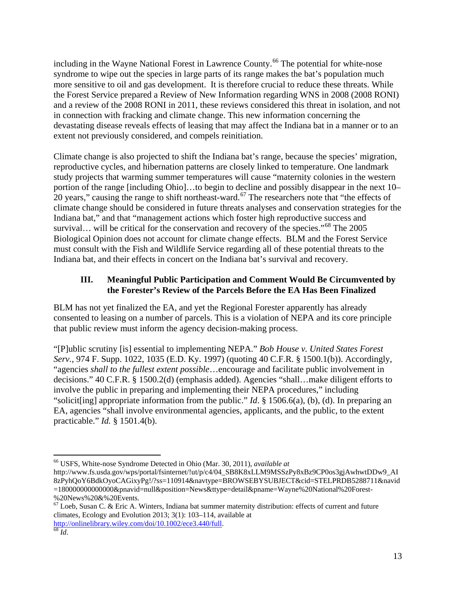including in the Wayne National Forest in Lawrence County.<sup>[66](#page-12-0)</sup> The potential for white-nose syndrome to wipe out the species in large parts of its range makes the bat's population much more sensitive to oil and gas development. It is therefore crucial to reduce these threats. While the Forest Service prepared a Review of New Information regarding WNS in 2008 (2008 RONI) and a review of the 2008 RONI in 2011, these reviews considered this threat in isolation, and not in connection with fracking and climate change. This new information concerning the devastating disease reveals effects of leasing that may affect the Indiana bat in a manner or to an extent not previously considered, and compels reinitiation.

Climate change is also projected to shift the Indiana bat's range, because the species' migration, reproductive cycles, and hibernation patterns are closely linked to temperature. One landmark study projects that warming summer temperatures will cause "maternity colonies in the western portion of the range [including Ohio]…to begin to decline and possibly disappear in the next 10– 20 years," causing the range to shift northeast-ward.<sup>[67](#page-12-1)</sup> The researchers note that "the effects of climate change should be considered in future threats analyses and conservation strategies for the Indiana bat," and that "management actions which foster high reproductive success and survival... will be critical for the conservation and recovery of the species."<sup>[68](#page-12-2)</sup> The 2005 Biological Opinion does not account for climate change effects. BLM and the Forest Service must consult with the Fish and Wildlife Service regarding all of these potential threats to the Indiana bat, and their effects in concert on the Indiana bat's survival and recovery.

## **III. Meaningful Public Participation and Comment Would Be Circumvented by the Forester's Review of the Parcels Before the EA Has Been Finalized**

BLM has not yet finalized the EA, and yet the Regional Forester apparently has already consented to leasing on a number of parcels. This is a violation of NEPA and its core principle that public review must inform the agency decision-making process.

"[P]ublic scrutiny [is] essential to implementing NEPA." *Bob House v. United States Forest Serv.*, 974 F. Supp. 1022, 1035 (E.D. Ky. 1997) (quoting 40 C.F.R. § 1500.1(b)). Accordingly, "agencies *shall to the fullest extent possible*…encourage and facilitate public involvement in decisions." 40 C.F.R. § 1500.2(d) (emphasis added). Agencies "shall…make diligent efforts to involve the public in preparing and implementing their NEPA procedures," including "solicit[ing] appropriate information from the public." *Id*. § 1506.6(a), (b), (d). In preparing an EA, agencies "shall involve environmental agencies, applicants, and the public, to the extent practicable." *Id.* § 1501.4(b).

<span id="page-12-0"></span> <sup>66</sup> USFS, White-nose Syndrome Detected in Ohio (Mar. 30, 2011), *available at* 

http://www.fs.usda.gov/wps/portal/fsinternet/!ut/p/c4/04\_SB8K8xLLM9MSSzPy8xBz9CP0os3gjAwhwtDDw9\_AI 8zPyhQoY6BdkOyoCAGixyPg!/?ss=110914&navtype=BROWSEBYSUBJECT&cid=STELPRDB5288711&navid =180000000000000&pnavid=null&position=News&ttype=detail&pname=Wayne%20National%20Forest- %20News%20&%20Events.

<span id="page-12-2"></span><span id="page-12-1"></span><sup>67</sup> Loeb, Susan C. & Eric A. Winters, Indiana bat summer maternity distribution: effects of current and future climates, Ecology and Evolution 2013; 3(1): 103–114, available at [http://onlinelibrary.wiley.com/doi/10.1002/ece3.440/full.](http://onlinelibrary.wiley.com/doi/10.1002/ece3.440/full)<br><sup>[68](http://onlinelibrary.wiley.com/doi/10.1002/ece3.440/full)</sup> *Id*.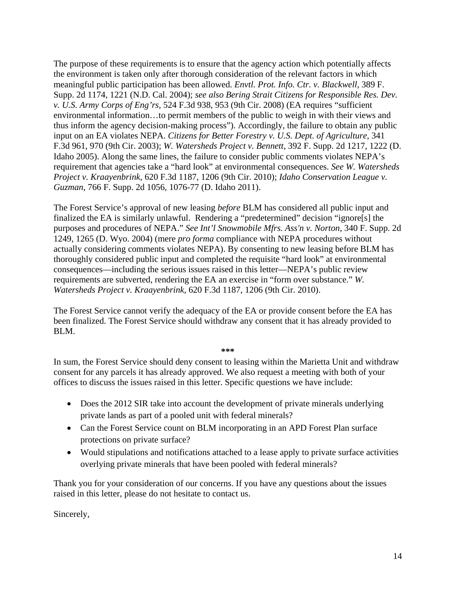The purpose of these requirements is to ensure that the agency action which potentially affects the environment is taken only after thorough consideration of the relevant factors in which meaningful public participation has been allowed. *Envtl. Prot. Info. Ctr. v. Blackwell*, 389 F. Supp. 2d 1174, 1221 (N.D. Cal. 2004); *see also Bering Strait Citizens for Responsible Res. Dev. v. U.S. Army Corps of Eng'rs*, 524 F.3d 938, 953 (9th Cir. 2008) (EA requires "sufficient environmental information…to permit members of the public to weigh in with their views and thus inform the agency decision-making process"). Accordingly, the failure to obtain any public input on an EA violates NEPA. *Citizens for Better Forestry v. U.S. Dept. of Agriculture*, 341 F.3d 961, 970 (9th Cir. 2003); *W. Watersheds Project v. Bennett*, 392 F. Supp. 2d 1217, 1222 (D. Idaho 2005). Along the same lines, the failure to consider public comments violates NEPA's requirement that agencies take a "hard look" at environmental consequences. *See W. Watersheds Project v. Kraayenbrink*, 620 F.3d 1187, 1206 (9th Cir. 2010); *Idaho Conservation League v. Guzman*, 766 F. Supp. 2d 1056, 1076-77 (D. Idaho 2011).

The Forest Service's approval of new leasing *before* BLM has considered all public input and finalized the EA is similarly unlawful. Rendering a "predetermined" decision "ignore[s] the purposes and procedures of NEPA." *See Int'l Snowmobile Mfrs. Ass'n v. Norton*, 340 F. Supp. 2d 1249, 1265 (D. Wyo. 2004) (mere *pro forma* compliance with NEPA procedures without actually considering comments violates NEPA). By consenting to new leasing before BLM has thoroughly considered public input and completed the requisite "hard look" at environmental consequences—including the serious issues raised in this letter—NEPA's public review requirements are subverted, rendering the EA an exercise in "form over substance." *W. Watersheds Project v. Kraayenbrink*, 620 F.3d 1187, 1206 (9th Cir. 2010).

The Forest Service cannot verify the adequacy of the EA or provide consent before the EA has been finalized. The Forest Service should withdraw any consent that it has already provided to BLM.

#### **\*\*\***

In sum, the Forest Service should deny consent to leasing within the Marietta Unit and withdraw consent for any parcels it has already approved. We also request a meeting with both of your offices to discuss the issues raised in this letter. Specific questions we have include:

- Does the 2012 SIR take into account the development of private minerals underlying private lands as part of a pooled unit with federal minerals?
- Can the Forest Service count on BLM incorporating in an APD Forest Plan surface protections on private surface?
- Would stipulations and notifications attached to a lease apply to private surface activities overlying private minerals that have been pooled with federal minerals?

Thank you for your consideration of our concerns. If you have any questions about the issues raised in this letter, please do not hesitate to contact us.

Sincerely,